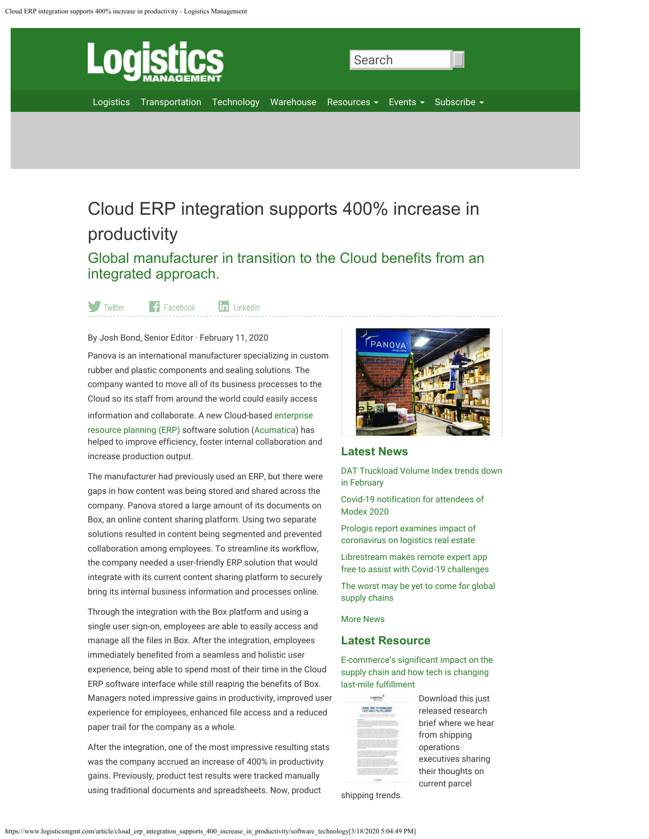<span id="page-0-0"></span>

# Cloud ERP integration supports 400% increase in productivity

Global manufacturer in transition to the Cloud benefits from an integrated approach.

**in** Linkedin Twitter  $\left| \cdot \right|$  Facebook

By Josh Bond, Senior Editor · February 11, 2020

Panova is an international manufacturer specializing in custom rubber and plastic components and sealing solutions. The company wanted to move all of its business processes to the Cloud so its staff from around the world could easily access information and collaborate. A new Cloud-based enterprise resource planning (ERP) software solution (Acumatica) has helped to improve efficiency, foster internal collaboration and increase production output.

The manufacturer had previously used an ERP, but there were gaps in how content was being stored and shared across the company. Panova stored a large amount of its documents on Box, an online content sharing platform. Using two separate solutions resulted in content being segmented and prevented collaboration among employees. To streamline its workflow, the company needed a user-friendly ERP solution that would integrate with its current content sharing platform to securely bring its internal business information and processes online.

Through the integration with the Box platform and using a single user sign-on, employees are able to easily access and manage all the files in Box. After the integration, employees immediately benefited from a seamless and holistic user experience, being able to spend most of their time in the Cloud ERP software interface while still reaping the benefits of Box. Managers noted impressive gains in productivity, improved user experience for employees, enhanced file access and a reduced paper trail for the company as a whole.

After the integration, one of the most impressive resulting stats was the company accrued an increase of 400% in productivity gains. Previously, product test results were tracked manually using traditional documents and spreadsheets. Now, product



# **Latest News**

DAT Truckload Volume Index trends down in February

Covid-19 notification for attendees of Modex 2020

Prologis report examines impact of coronavirus on logistics real estate

Librestream makes remote expert app free to assist with Covid-19 challenges

The worst may be yet to come for global supply chains

More News

# **Latest Resource**

E-commerce's significant impact on the supply chain and how tech is changing last-mile fulfillment

Logistys<sup>3</sup> USING THIS TO FIEMAGINE

Download this just released research brief where we hear from shipping operations executives sharing their thoughts on current parcel

shipping trends.